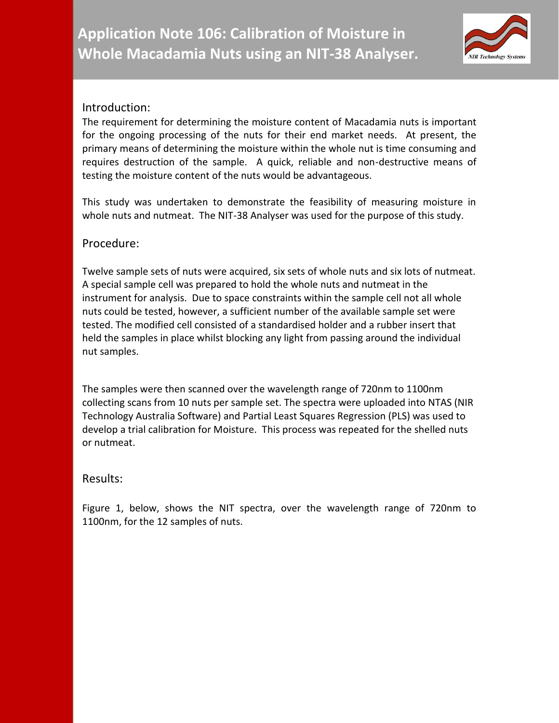

## Introduction:

The requirement for determining the moisture content of Macadamia nuts is important for the ongoing processing of the nuts for their end market needs. At present, the primary means of determining the moisture within the whole nut is time consuming and requires destruction of the sample. A quick, reliable and non-destructive means of testing the moisture content of the nuts would be advantageous.

This study was undertaken to demonstrate the feasibility of measuring moisture in whole nuts and nutmeat. The NIT-38 Analyser was used for the purpose of this study.

## Procedure:

Twelve sample sets of nuts were acquired, six sets of whole nuts and six lots of nutmeat. A special sample cell was prepared to hold the whole nuts and nutmeat in the instrument for analysis. Due to space constraints within the sample cell not all whole nuts could be tested, however, a sufficient number of the available sample set were tested. The modified cell consisted of a standardised holder and a rubber insert that held the samples in place whilst blocking any light from passing around the individual nut samples.

The samples were then scanned over the wavelength range of 720nm to 1100nm collecting scans from 10 nuts per sample set. The spectra were uploaded into NTAS (NIR Technology Australia Software) and Partial Least Squares Regression (PLS) was used to develop a trial calibration for Moisture. This process was repeated for the shelled nuts or nutmeat.

## Results:

Figure 1, below, shows the NIT spectra, over the wavelength range of 720nm to 1100nm, for the 12 samples of nuts.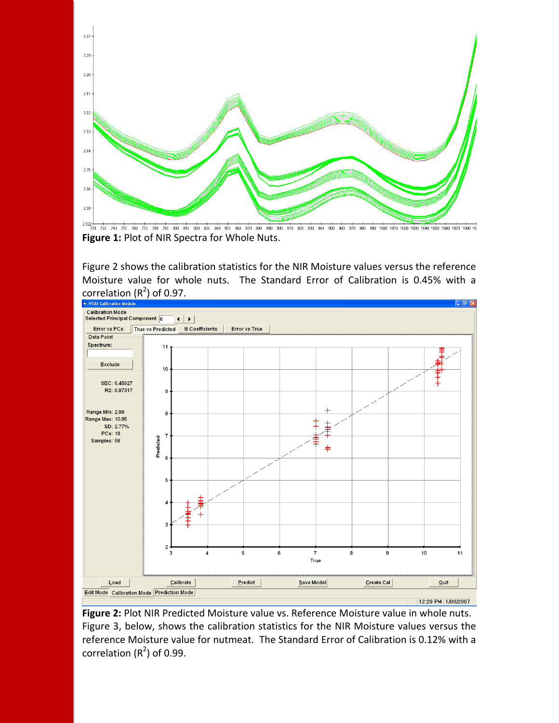

Figure 2 shows the calibration statistics for the NIR Moisture values versus the reference Moisture value for whole nuts. The Standard Error of Calibration is 0.45% with a correlation  $(R^2)$  of 0.97.



**Figure 2:** Plot NIR Predicted Moisture value vs. Reference Moisture value in whole nuts. Figure 3, below, shows the calibration statistics for the NIR Moisture values versus the reference Moisture value for nutmeat. The Standard Error of Calibration is 0.12% with a correlation  $(R^2)$  of 0.99.